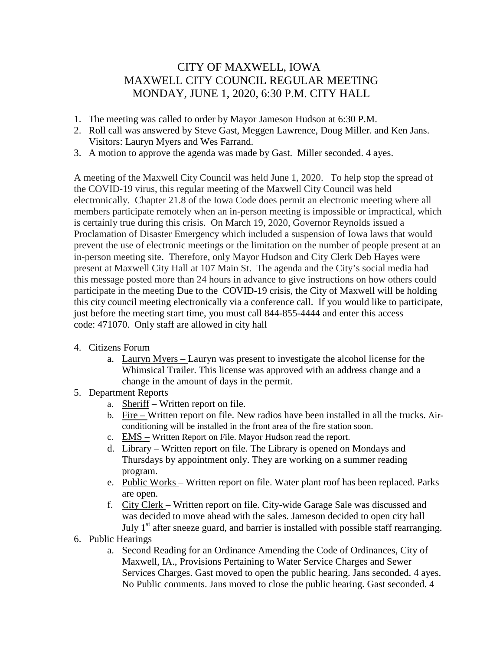## CITY OF MAXWELL, IOWA MAXWELL CITY COUNCIL REGULAR MEETING MONDAY, JUNE 1, 2020, 6:30 P.M. CITY HALL

- 1. The meeting was called to order by Mayor Jameson Hudson at 6:30 P.M.
- 2. Roll call was answered by Steve Gast, Meggen Lawrence, Doug Miller. and Ken Jans. Visitors: Lauryn Myers and Wes Farrand.
- 3. A motion to approve the agenda was made by Gast. Miller seconded. 4 ayes.

A meeting of the Maxwell City Council was held June 1, 2020. To help stop the spread of the COVID-19 virus, this regular meeting of the Maxwell City Council was held electronically. Chapter 21.8 of the Iowa Code does permit an electronic meeting where all members participate remotely when an in-person meeting is impossible or impractical, which is certainly true during this crisis. On March 19, 2020, Governor Reynolds issued a Proclamation of Disaster Emergency which included a suspension of Iowa laws that would prevent the use of electronic meetings or the limitation on the number of people present at an in-person meeting site. Therefore, only Mayor Hudson and City Clerk Deb Hayes were present at Maxwell City Hall at 107 Main St. The agenda and the City's social media had this message posted more than 24 hours in advance to give instructions on how others could participate in the meeting Due to the COVID-19 crisis, the City of Maxwell will be holding this city council meeting electronically via a conference call. If you would like to participate, just before the meeting start time, you must call 844-855-4444 and enter this access code: 471070. Only staff are allowed in city hall

- 4. Citizens Forum
	- a. Lauryn Myers Lauryn was present to investigate the alcohol license for the Whimsical Trailer. This license was approved with an address change and a change in the amount of days in the permit.
- 5. Department Reports
	- a. Sheriff Written report on file.
	- b. Fire Written report on file. New radios have been installed in all the trucks. Airconditioning will be installed in the front area of the fire station soon.
	- c. EMS Written Report on File. Mayor Hudson read the report.
	- d. Library Written report on file. The Library is opened on Mondays and Thursdays by appointment only. They are working on a summer reading program.
	- e. Public Works Written report on file. Water plant roof has been replaced. Parks are open.
	- f. City Clerk Written report on file. City-wide Garage Sale was discussed and was decided to move ahead with the sales. Jameson decided to open city hall July  $1<sup>st</sup>$  after sneeze guard, and barrier is installed with possible staff rearranging.
- 6. Public Hearings
	- a. Second Reading for an Ordinance Amending the Code of Ordinances, City of Maxwell, IA., Provisions Pertaining to Water Service Charges and Sewer Services Charges. Gast moved to open the public hearing. Jans seconded. 4 ayes. No Public comments. Jans moved to close the public hearing. Gast seconded. 4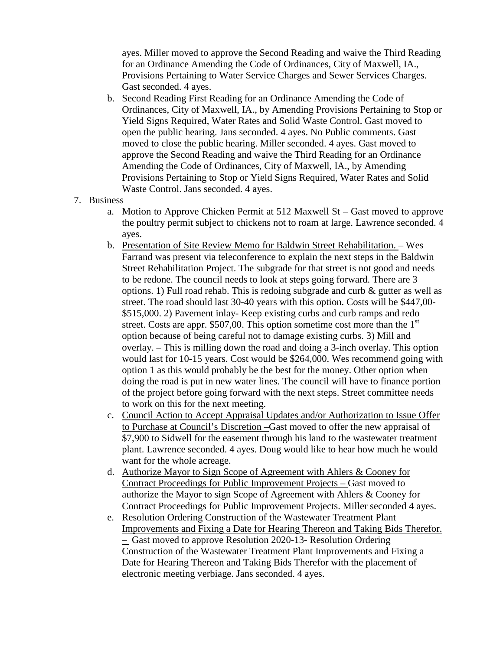ayes. Miller moved to approve the Second Reading and waive the Third Reading for an Ordinance Amending the Code of Ordinances, City of Maxwell, IA., Provisions Pertaining to Water Service Charges and Sewer Services Charges. Gast seconded. 4 ayes.

- b. Second Reading First Reading for an Ordinance Amending the Code of Ordinances, City of Maxwell, IA., by Amending Provisions Pertaining to Stop or Yield Signs Required, Water Rates and Solid Waste Control. Gast moved to open the public hearing. Jans seconded. 4 ayes. No Public comments. Gast moved to close the public hearing. Miller seconded. 4 ayes. Gast moved to approve the Second Reading and waive the Third Reading for an Ordinance Amending the Code of Ordinances, City of Maxwell, IA., by Amending Provisions Pertaining to Stop or Yield Signs Required, Water Rates and Solid Waste Control. Jans seconded. 4 ayes.
- 7. Business
	- a. Motion to Approve Chicken Permit at 512 Maxwell St Gast moved to approve the poultry permit subject to chickens not to roam at large. Lawrence seconded. 4 ayes.
	- b. Presentation of Site Review Memo for Baldwin Street Rehabilitation. Wes Farrand was present via teleconference to explain the next steps in the Baldwin Street Rehabilitation Project. The subgrade for that street is not good and needs to be redone. The council needs to look at steps going forward. There are 3 options. 1) Full road rehab. This is redoing subgrade and curb & gutter as well as street. The road should last 30-40 years with this option. Costs will be \$447,00- \$515,000. 2) Pavement inlay- Keep existing curbs and curb ramps and redo street. Costs are appr. \$507,00. This option sometime cost more than the  $1<sup>st</sup>$ option because of being careful not to damage existing curbs. 3) Mill and overlay. – This is milling down the road and doing a 3-inch overlay. This option would last for 10-15 years. Cost would be \$264,000. Wes recommend going with option 1 as this would probably be the best for the money. Other option when doing the road is put in new water lines. The council will have to finance portion of the project before going forward with the next steps. Street committee needs to work on this for the next meeting.
	- c. Council Action to Accept Appraisal Updates and/or Authorization to Issue Offer to Purchase at Council's Discretion –Gast moved to offer the new appraisal of \$7,900 to Sidwell for the easement through his land to the wastewater treatment plant. Lawrence seconded. 4 ayes. Doug would like to hear how much he would want for the whole acreage.
	- d. Authorize Mayor to Sign Scope of Agreement with Ahlers & Cooney for Contract Proceedings for Public Improvement Projects – Gast moved to authorize the Mayor to sign Scope of Agreement with Ahlers & Cooney for Contract Proceedings for Public Improvement Projects. Miller seconded 4 ayes.
	- e. Resolution Ordering Construction of the Wastewater Treatment Plant Improvements and Fixing a Date for Hearing Thereon and Taking Bids Therefor. – Gast moved to approve Resolution 2020-13- Resolution Ordering Construction of the Wastewater Treatment Plant Improvements and Fixing a Date for Hearing Thereon and Taking Bids Therefor with the placement of electronic meeting verbiage. Jans seconded. 4 ayes.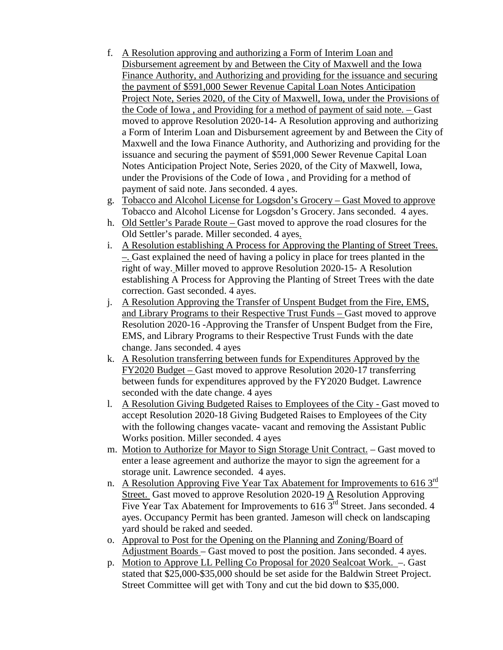- f. A Resolution approving and authorizing a Form of Interim Loan and Disbursement agreement by and Between the City of Maxwell and the Iowa Finance Authority, and Authorizing and providing for the issuance and securing the payment of \$591,000 Sewer Revenue Capital Loan Notes Anticipation Project Note, Series 2020, of the City of Maxwell, Iowa, under the Provisions of the Code of Iowa , and Providing for a method of payment of said note. – Gast moved to approve Resolution 2020-14- A Resolution approving and authorizing a Form of Interim Loan and Disbursement agreement by and Between the City of Maxwell and the Iowa Finance Authority, and Authorizing and providing for the issuance and securing the payment of \$591,000 Sewer Revenue Capital Loan Notes Anticipation Project Note, Series 2020, of the City of Maxwell, Iowa, under the Provisions of the Code of Iowa , and Providing for a method of payment of said note. Jans seconded. 4 ayes.
- g. Tobacco and Alcohol License for Logsdon's Grocery Gast Moved to approve Tobacco and Alcohol License for Logsdon's Grocery. Jans seconded. 4 ayes.
- h. Old Settler's Parade Route Gast moved to approve the road closures for the Old Settler's parade. Miller seconded. 4 ayes.
- i. A Resolution establishing A Process for Approving the Planting of Street Trees. –. Gast explained the need of having a policy in place for trees planted in the right of way. Miller moved to approve Resolution 2020-15- A Resolution establishing A Process for Approving the Planting of Street Trees with the date correction. Gast seconded. 4 ayes.
- j. A Resolution Approving the Transfer of Unspent Budget from the Fire, EMS, and Library Programs to their Respective Trust Funds – Gast moved to approve Resolution 2020-16 -Approving the Transfer of Unspent Budget from the Fire, EMS, and Library Programs to their Respective Trust Funds with the date change. Jans seconded. 4 ayes
- k. A Resolution transferring between funds for Expenditures Approved by the FY2020 Budget – Gast moved to approve Resolution 2020-17 transferring between funds for expenditures approved by the FY2020 Budget. Lawrence seconded with the date change. 4 ayes
- l. A Resolution Giving Budgeted Raises to Employees of the City Gast moved to accept Resolution 2020-18 Giving Budgeted Raises to Employees of the City with the following changes vacate- vacant and removing the Assistant Public Works position. Miller seconded. 4 ayes
- m. Motion to Authorize for Mayor to Sign Storage Unit Contract. Gast moved to enter a lease agreement and authorize the mayor to sign the agreement for a storage unit. Lawrence seconded. 4 ayes.
- n. A Resolution Approving Five Year Tax Abatement for Improvements to 616  $3^{\text{rd}}$ Street. Gast moved to approve Resolution 2020-19 A Resolution Approving Five Year Tax Abatement for Improvements to  $616\overline{3}^{rd}$  Street. Jans seconded. 4 ayes. Occupancy Permit has been granted. Jameson will check on landscaping yard should be raked and seeded.
- o. Approval to Post for the Opening on the Planning and Zoning/Board of Adjustment Boards – Gast moved to post the position. Jans seconded. 4 ayes.
- p. Motion to Approve LL Pelling Co Proposal for 2020 Sealcoat Work. –. Gast stated that \$25,000-\$35,000 should be set aside for the Baldwin Street Project. Street Committee will get with Tony and cut the bid down to \$35,000.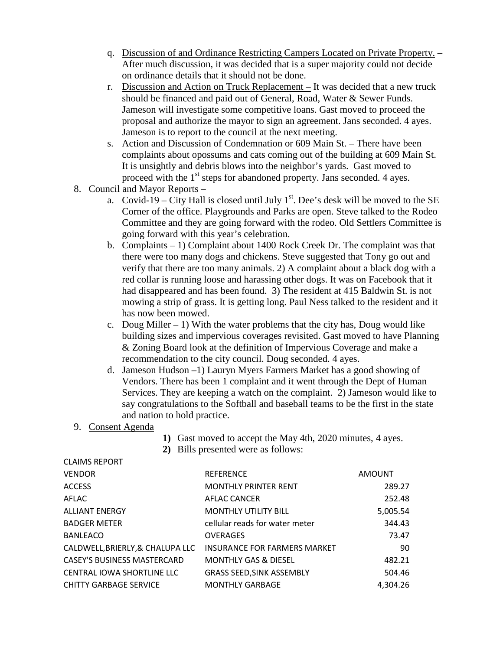- q. Discussion of and Ordinance Restricting Campers Located on Private Property. After much discussion, it was decided that is a super majority could not decide on ordinance details that it should not be done.
- r. Discussion and Action on Truck Replacement It was decided that a new truck should be financed and paid out of General, Road, Water & Sewer Funds. Jameson will investigate some competitive loans. Gast moved to proceed the proposal and authorize the mayor to sign an agreement. Jans seconded. 4 ayes. Jameson is to report to the council at the next meeting.
- s. Action and Discussion of Condemnation or 609 Main St. There have been complaints about opossums and cats coming out of the building at 609 Main St. It is unsightly and debris blows into the neighbor's yards. Gast moved to proceed with the  $1<sup>st</sup>$  steps for abandoned property. Jans seconded. 4 ayes.
- 8. Council and Mayor Reports
	- a. Covid-19 City Hall is closed until July  $1<sup>st</sup>$ . Dee's desk will be moved to the SE Corner of the office. Playgrounds and Parks are open. Steve talked to the Rodeo Committee and they are going forward with the rodeo. Old Settlers Committee is going forward with this year's celebration.
	- b. Complaints 1) Complaint about 1400 Rock Creek Dr. The complaint was that there were too many dogs and chickens. Steve suggested that Tony go out and verify that there are too many animals. 2) A complaint about a black dog with a red collar is running loose and harassing other dogs. It was on Facebook that it had disappeared and has been found. 3) The resident at 415 Baldwin St. is not mowing a strip of grass. It is getting long. Paul Ness talked to the resident and it has now been mowed.
	- c. Doug Miller  $-1$ ) With the water problems that the city has, Doug would like building sizes and impervious coverages revisited. Gast moved to have Planning & Zoning Board look at the definition of Impervious Coverage and make a recommendation to the city council. Doug seconded. 4 ayes.
	- d. Jameson Hudson –1) Lauryn Myers Farmers Market has a good showing of Vendors. There has been 1 complaint and it went through the Dept of Human Services. They are keeping a watch on the complaint. 2) Jameson would like to say congratulations to the Softball and baseball teams to be the first in the state and nation to hold practice.

## 9. Consent Agenda

CLAIMS REPORT

- **1)** Gast moved to accept the May 4th, 2020 minutes, 4 ayes.
- **2)** Bills presented were as follows:

| <u>CL 111713151 CIVI</u>           |                                     |               |
|------------------------------------|-------------------------------------|---------------|
| <b>VENDOR</b>                      | <b>REFERENCE</b>                    | <b>AMOUNT</b> |
| <b>ACCESS</b>                      | <b>MONTHLY PRINTER RENT</b>         | 289.27        |
| AFLAC                              | AFLAC CANCER                        | 252.48        |
| <b>ALLIANT ENERGY</b>              | <b>MONTHLY UTILITY BILL</b>         | 5,005.54      |
| <b>BADGER METER</b>                | cellular reads for water meter      | 344.43        |
| <b>BANLEACO</b>                    | <b>OVERAGES</b>                     | 73.47         |
| CALDWELL, BRIERLY, & CHALUPA LLC   | <b>INSURANCE FOR FARMERS MARKET</b> | 90            |
| <b>CASEY'S BUSINESS MASTERCARD</b> | <b>MONTHLY GAS &amp; DIESEL</b>     | 482.21        |
| CENTRAL IOWA SHORTLINE LLC         | <b>GRASS SEED, SINK ASSEMBLY</b>    | 504.46        |
| <b>CHITTY GARBAGE SERVICE</b>      | <b>MONTHLY GARBAGE</b>              | 4,304.26      |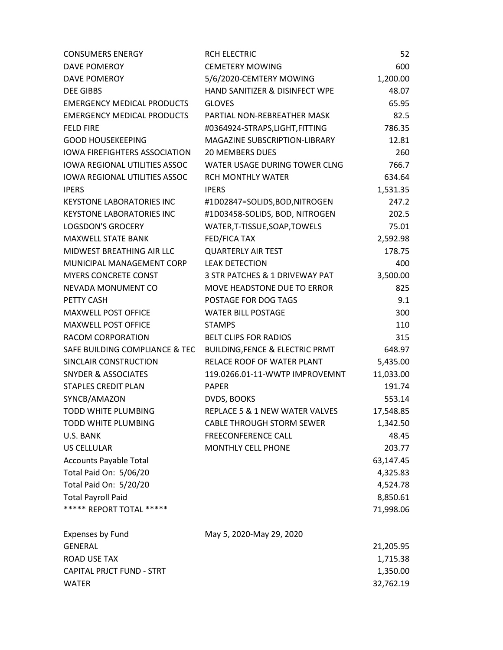| <b>CONSUMERS ENERGY</b>              | <b>RCH ELECTRIC</b>                        | 52        |
|--------------------------------------|--------------------------------------------|-----------|
| DAVE POMEROY                         | <b>CEMETERY MOWING</b>                     | 600       |
| DAVE POMEROY                         | 5/6/2020-CEMTERY MOWING                    | 1,200.00  |
| <b>DEE GIBBS</b>                     | HAND SANITIZER & DISINFECT WPE             | 48.07     |
| <b>EMERGENCY MEDICAL PRODUCTS</b>    | <b>GLOVES</b>                              | 65.95     |
| <b>EMERGENCY MEDICAL PRODUCTS</b>    | PARTIAL NON-REBREATHER MASK                | 82.5      |
| <b>FELD FIRE</b>                     | #0364924-STRAPS,LIGHT,FITTING              | 786.35    |
| <b>GOOD HOUSEKEEPING</b>             | MAGAZINE SUBSCRIPTION-LIBRARY              | 12.81     |
| <b>IOWA FIREFIGHTERS ASSOCIATION</b> | <b>20 MEMBERS DUES</b>                     | 260       |
| <b>IOWA REGIONAL UTILITIES ASSOC</b> | WATER USAGE DURING TOWER CLNG              | 766.7     |
| <b>IOWA REGIONAL UTILITIES ASSOC</b> | <b>RCH MONTHLY WATER</b>                   | 634.64    |
| <b>IPERS</b>                         | <b>IPERS</b>                               | 1,531.35  |
| <b>KEYSTONE LABORATORIES INC</b>     | #1D02847=SOLIDS,BOD,NITROGEN               | 247.2     |
| <b>KEYSTONE LABORATORIES INC</b>     | #1D03458-SOLIDS, BOD, NITROGEN             | 202.5     |
| <b>LOGSDON'S GROCERY</b>             | WATER, T-TISSUE, SOAP, TOWELS              | 75.01     |
| <b>MAXWELL STATE BANK</b>            | FED/FICA TAX                               | 2,592.98  |
| <b>MIDWEST BREATHING AIR LLC</b>     | <b>QUARTERLY AIR TEST</b>                  | 178.75    |
| MUNICIPAL MANAGEMENT CORP            | <b>LEAK DETECTION</b>                      | 400       |
| <b>MYERS CONCRETE CONST</b>          | 3 STR PATCHES & 1 DRIVEWAY PAT             | 3,500.00  |
| NEVADA MONUMENT CO                   | MOVE HEADSTONE DUE TO ERROR                | 825       |
| PETTY CASH                           | POSTAGE FOR DOG TAGS                       | 9.1       |
| <b>MAXWELL POST OFFICE</b>           | <b>WATER BILL POSTAGE</b>                  | 300       |
| <b>MAXWELL POST OFFICE</b>           | <b>STAMPS</b>                              | 110       |
| RACOM CORPORATION                    | <b>BELT CLIPS FOR RADIOS</b>               | 315       |
| SAFE BUILDING COMPLIANCE & TEC       | <b>BUILDING, FENCE &amp; ELECTRIC PRMT</b> | 648.97    |
| SINCLAIR CONSTRUCTION                | RELACE ROOF OF WATER PLANT                 | 5,435.00  |
| <b>SNYDER &amp; ASSOCIATES</b>       | 119.0266.01-11-WWTP IMPROVEMNT             | 11,033.00 |
| <b>STAPLES CREDIT PLAN</b>           | <b>PAPER</b>                               | 191.74    |
| SYNCB/AMAZON                         | DVDS, BOOKS                                | 553.14    |
| <b>TODD WHITE PLUMBING</b>           | REPLACE 5 & 1 NEW WATER VALVES             | 17,548.85 |
| TODD WHITE PLUMBING                  | <b>CABLE THROUGH STORM SEWER</b>           | 1,342.50  |
| U.S. BANK                            | <b>FREECONFERENCE CALL</b>                 | 48.45     |
| <b>US CELLULAR</b>                   | <b>MONTHLY CELL PHONE</b>                  | 203.77    |
| <b>Accounts Payable Total</b>        |                                            | 63,147.45 |
| Total Paid On: 5/06/20               |                                            | 4,325.83  |
| Total Paid On: 5/20/20               |                                            | 4,524.78  |
| <b>Total Payroll Paid</b>            |                                            | 8,850.61  |
| ***** REPORT TOTAL *****             |                                            | 71,998.06 |
| <b>Expenses by Fund</b>              | May 5, 2020-May 29, 2020                   |           |
| <b>GENERAL</b>                       |                                            | 21,205.95 |
| <b>ROAD USE TAX</b>                  |                                            | 1,715.38  |
| <b>CAPITAL PRJCT FUND - STRT</b>     |                                            | 1,350.00  |
| <b>WATER</b>                         |                                            | 32,762.19 |